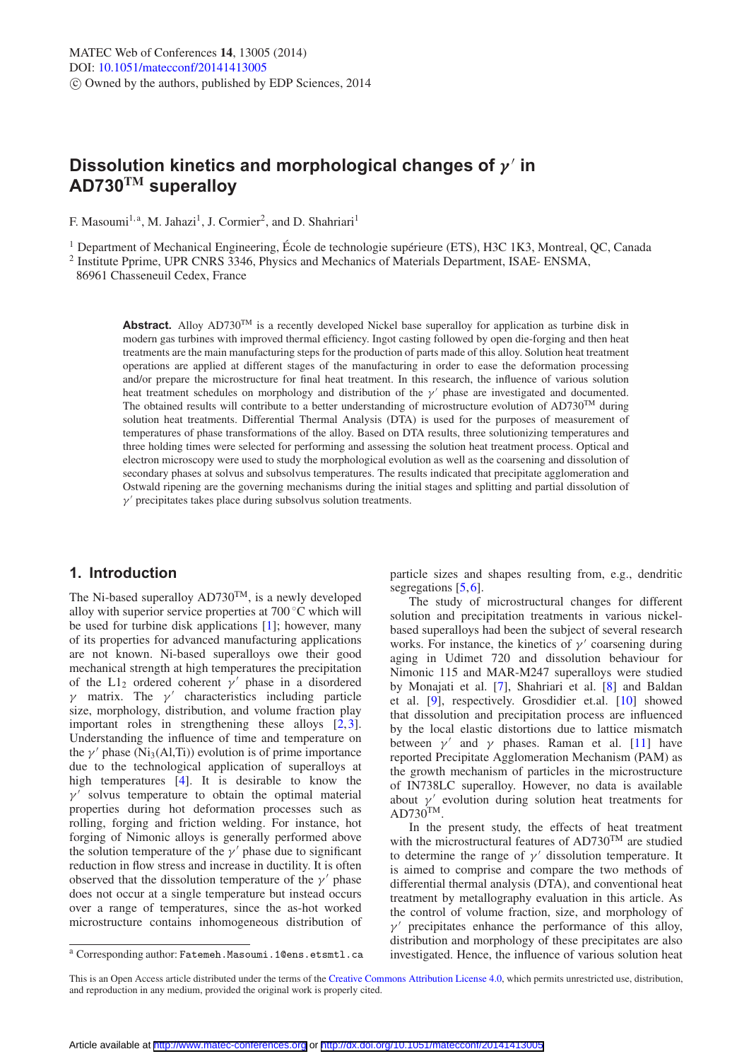# **Dissolution kinetics and morphological changes of** *γ* **in AD730TM superalloy**

F. Masoumi<sup>1, a</sup>, M. Jahazi<sup>1</sup>, J. Cormier<sup>2</sup>, and D. Shahriari<sup>1</sup>

<sup>1</sup> Department of Mechanical Engineering, École de technologie supérieure (ETS), H3C 1K3, Montreal, QC, Canada  $^2$  Institute Pprime, UPR CNRS 3346, Physics and Mechanics of Materials Department, ISAE- ENSMA,

86961 Chasseneuil Cedex, France

**Abstract.** Alloy  $AD730^{TM}$  is a recently developed Nickel base superalloy for application as turbine disk in modern gas turbines with improved thermal efficiency. Ingot casting followed by open die-forging and then heat treatments are the main manufacturing steps for the production of parts made of this alloy. Solution heat treatment operations are applied at different stages of the manufacturing in order to ease the deformation processing and/or prepare the microstructure for final heat treatment. In this research, the influence of various solution heat treatment schedules on morphology and distribution of the  $\gamma'$  phase are investigated and documented. The obtained results will contribute to a better understanding of microstructure evolution of  $AD730<sup>TM</sup>$  during solution heat treatments. Differential Thermal Analysis (DTA) is used for the purposes of measurement of temperatures of phase transformations of the alloy. Based on DTA results, three solutionizing temperatures and three holding times were selected for performing and assessing the solution heat treatment process. Optical and electron microscopy were used to study the morphological evolution as well as the coarsening and dissolution of secondary phases at solvus and subsolvus temperatures. The results indicated that precipitate agglomeration and Ostwald ripening are the governing mechanisms during the initial stages and splitting and partial dissolution of  $\gamma'$  precipitates takes place during subsolvus solution treatments.

# **1. Introduction**

The Ni-based superalloy AD730<sup>TM</sup>, is a newly developed alloy with superior service properties at 700 ◦C which will be used for turbine disk applications [\[1\]](#page-5-0); however, many of its properties for advanced manufacturing applications are not known. Ni-based superalloys owe their good mechanical strength at high temperatures the precipitation of the L1<sub>2</sub> ordered coherent  $\gamma'$  phase in a disordered γ matrix. The γ characteristics including particle size, morphology, distribution, and volume fraction play important roles in strengthening these alloys [\[2](#page-5-1),[3\]](#page-5-2). Understanding the influence of time and temperature on the  $\gamma'$  phase (N<sub>13</sub>(Al,T<sub>1</sub>)) evolution is of prime importance due to the technological application of superalloys at high temperatures [\[4](#page-5-3)]. It is desirable to know the  $\gamma'$  solvus temperature to obtain the optimal material properties during hot deformation processes such as rolling, forging and friction welding. For instance, hot forging of Nimonic alloys is generally performed above the solution temperature of the  $\gamma'$  phase due to significant reduction in flow stress and increase in ductility. It is often observed that the dissolution temperature of the  $\gamma'$  phase does not occur at a single temperature but instead occurs over a range of temperatures, since the as-hot worked microstructure contains inhomogeneous distribution of particle sizes and shapes resulting from, e.g., dendritic segregations [\[5](#page-5-4),[6\]](#page-5-5).

The study of microstructural changes for different solution and precipitation treatments in various nickelbased superalloys had been the subject of several research works. For instance, the kinetics of  $\nu'$  coarsening during aging in Udimet 720 and dissolution behaviour for Nimonic 115 and MAR-M247 superalloys were studied by Monajati et al. [\[7](#page-5-6)], Shahriari et al. [\[8\]](#page-5-7) and Baldan et al. [\[9](#page-5-8)], respectively. Grosdidier et.al. [\[10\]](#page-5-9) showed that dissolution and precipitation process are influenced by the local elastic distortions due to lattice mismatch between  $\gamma'$  and  $\gamma$  phases. Raman et al. [\[11\]](#page-5-10) have reported Precipitate Agglomeration Mechanism (PAM) as the growth mechanism of particles in the microstructure of IN738LC superalloy. However, no data is available about  $\gamma'$  evolution during solution heat treatments for  $AD730^{TM}$ .

In the present study, the effects of heat treatment with the microstructural features of  $AD730^{TM}$  are studied to determine the range of  $\gamma'$  dissolution temperature. It is aimed to comprise and compare the two methods of differential thermal analysis (DTA), and conventional heat treatment by metallography evaluation in this article. As the control of volume fraction, size, and morphology of  $\nu'$  precipitates enhance the performance of this alloy, distribution and morphology of these precipitates are also investigated. Hence, the influence of various solution heat

<sup>a</sup> Corresponding author: Fatemeh.Masoumi.1@ens.etsmtl.ca

This is an Open Access article distributed under the terms of the [Creative Commons Attribution License 4.0,](http://creativecommons.org/licenses/by/4.0/) which permits unrestricted use, distribution, and reproduction in any medium, provided the original work is properly cited.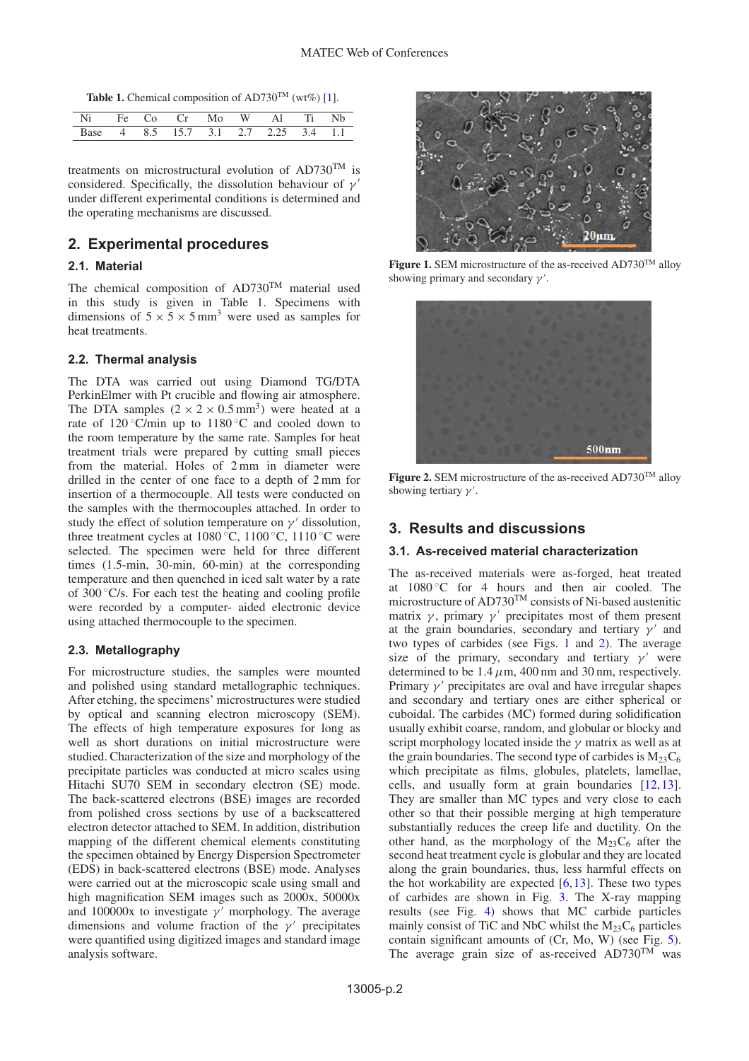Table 1. Chemical composition of AD730<sup>TM</sup> (wt%) [\[1](#page-5-0)].

| Ni     | Fe. | ്റ : | $\int$ | Mo | $W = 41$                        | $\mathbf{E}$ |  |
|--------|-----|------|--------|----|---------------------------------|--------------|--|
| – Base |     |      |        |    | 4 8.5 15.7 3.1 2.7 2.25 3.4 1.1 |              |  |

treatments on microstructural evolution of  $AD730^{TM}$  is considered. Specifically, the dissolution behaviour of  $\nu'$ under different experimental conditions is determined and the operating mechanisms are discussed.

# **2. Experimental procedures**

### **2.1. Material**

The chemical composition of AD730<sup>TM</sup> material used in this study is given in Table 1. Specimens with dimensions of  $5 \times 5 \times 5$  mm<sup>3</sup> were used as samples for heat treatments.

### **2.2. Thermal analysis**

The DTA was carried out using Diamond TG/DTA PerkinElmer with Pt crucible and flowing air atmosphere. The DTA samples  $(2 \times 2 \times 0.5 \text{ mm}^3)$  were heated at a rate of  $120^{\circ}$ C/min up to  $1180^{\circ}$ C and cooled down to the room temperature by the same rate. Samples for heat treatment trials were prepared by cutting small pieces from the material. Holes of 2 mm in diameter were drilled in the center of one face to a depth of 2 mm for insertion of a thermocouple. All tests were conducted on the samples with the thermocouples attached. In order to study the effect of solution temperature on  $\gamma'$  dissolution, three treatment cycles at  $1080^\circ\text{C}$ ,  $1100^\circ\text{C}$ ,  $1110^\circ\text{C}$  were selected. The specimen were held for three different times (1.5-min, 30-min, 60-min) at the corresponding temperature and then quenched in iced salt water by a rate of  $300^{\circ}$ C/s. For each test the heating and cooling profile were recorded by a computer- aided electronic device using attached thermocouple to the specimen.

### **2.3. Metallography**

For microstructure studies, the samples were mounted and polished using standard metallographic techniques. After etching, the specimens' microstructures were studied by optical and scanning electron microscopy (SEM). The effects of high temperature exposures for long as well as short durations on initial microstructure were studied. Characterization of the size and morphology of the precipitate particles was conducted at micro scales using Hitachi SU70 SEM in secondary electron (SE) mode. The back-scattered electrons (BSE) images are recorded from polished cross sections by use of a backscattered electron detector attached to SEM. In addition, distribution mapping of the different chemical elements constituting the specimen obtained by Energy Dispersion Spectrometer (EDS) in back-scattered electrons (BSE) mode. Analyses were carried out at the microscopic scale using small and high magnification SEM images such as 2000x, 50000x and 100000x to investigate  $\gamma'$  morphology. The average dimensions and volume fraction of the  $\gamma'$  precipitates were quantified using digitized images and standard image analysis software.

<span id="page-1-0"></span>

Figure 1. SEM microstructure of the as-received AD730<sup>TM</sup> alloy showing primary and secondary  $\gamma'$ .

<span id="page-1-1"></span>

**Figure 2.** SEM microstructure of the as-received AD730<sup>TM</sup> alloy showing tertiary  $\gamma'$ .

# **3. Results and discussions**

#### **3.1. As-received material characterization**

The as-received materials were as-forged, heat treated at  $1080\degree$ C for 4 hours and then air cooled. The microstructure of AD730<sup>TM</sup> consists of Ni-based austenitic matrix  $\gamma$ , primary  $\gamma'$  precipitates most of them present at the grain boundaries, secondary and tertiary  $\gamma'$  and two types of carbides (see Figs. [1](#page-1-0) and [2\)](#page-1-1). The average size of the primary, secondary and tertiary  $\gamma'$  were determined to be  $1.4 \mu m$ , 400 nm and 30 nm, respectively. Primary  $\gamma'$  precipitates are oval and have irregular shapes and secondary and tertiary ones are either spherical or cuboidal. The carbides (MC) formed during solidification usually exhibit coarse, random, and globular or blocky and script morphology located inside the  $\gamma$  matrix as well as at the grain boundaries. The second type of carbides is  $M_{23}C_6$ which precipitate as films, globules, platelets, lamellae, cells, and usually form at grain boundaries [\[12](#page-5-11)[,13](#page-5-12)]. They are smaller than MC types and very close to each other so that their possible merging at high temperature substantially reduces the creep life and ductility. On the other hand, as the morphology of the  $M_{23}C_6$  after the second heat treatment cycle is globular and they are located along the grain boundaries, thus, less harmful effects on the hot workability are expected  $[6,13]$  $[6,13]$  $[6,13]$ . These two types of carbides are shown in Fig. [3.](#page-2-0) The X-ray mapping results (see Fig. [4\)](#page-2-1) shows that MC carbide particles mainly consist of TiC and NbC whilst the  $M_{23}C_6$  particles contain significant amounts of (Cr, Mo, W) (see Fig. [5\)](#page-2-2). The average grain size of as-received  $AD730^{TM}$  was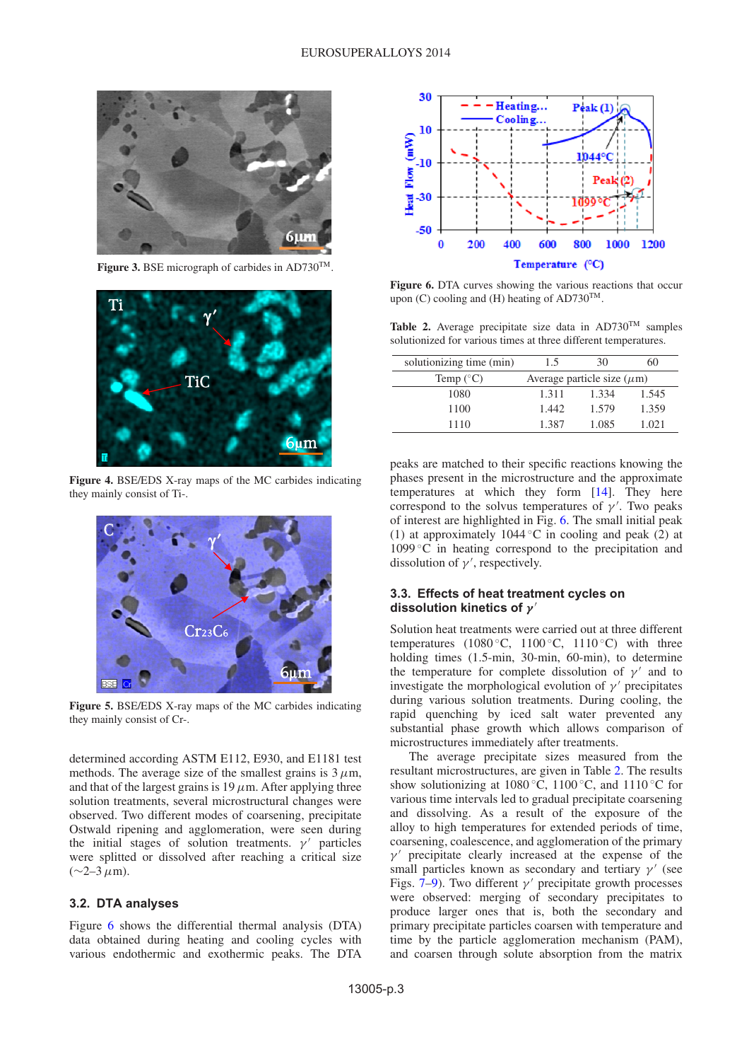<span id="page-2-0"></span>

Figure 3. BSE micrograph of carbides in AD730<sup>TM</sup>.

<span id="page-2-1"></span>

**Figure 4.** BSE/EDS X-ray maps of the MC carbides indicating they mainly consist of Ti-.

<span id="page-2-2"></span>

**Figure 5.** BSE/EDS X-ray maps of the MC carbides indicating they mainly consist of Cr-.

determined according ASTM E112, E930, and E1181 test methods. The average size of the smallest grains is  $3 \mu$ m, and that of the largest grains is  $19 \mu$ m. After applying three solution treatments, several microstructural changes were observed. Two different modes of coarsening, precipitate Ostwald ripening and agglomeration, were seen during the initial stages of solution treatments.  $\gamma'$  particles were splitted or dissolved after reaching a critical size  $(∼2–3 μm)$ .

### **3.2. DTA analyses**

Figure [6](#page-2-3) shows the differential thermal analysis (DTA) data obtained during heating and cooling cycles with various endothermic and exothermic peaks. The DTA

<span id="page-2-3"></span>

**Figure 6.** DTA curves showing the various reactions that occur upon (C) cooling and (H) heating of AD730<sup>TM</sup>.

<span id="page-2-4"></span>Table 2. Average precipitate size data in AD730<sup>TM</sup> samples solutionized for various times at three different temperatures.

| solutionizing time (min) | 1.5                             | 30    | 60    |  |  |  |
|--------------------------|---------------------------------|-------|-------|--|--|--|
| Temp $(^{\circ}C)$       | Average particle size $(\mu m)$ |       |       |  |  |  |
| 1080                     | 1.311                           | 1.334 | 1.545 |  |  |  |
| 1100                     | 1.442                           | 1.579 | 1.359 |  |  |  |
| 1110                     | 1.387                           | 1.085 | 1.021 |  |  |  |

peaks are matched to their specific reactions knowing the phases present in the microstructure and the approximate temperatures at which they form [\[14\]](#page-5-13). They here correspond to the solvus temperatures of  $\gamma'$ . Two peaks of interest are highlighted in Fig. [6.](#page-2-3) The small initial peak (1) at approximately 1044 °C in cooling and peak  $(2)$  at  $1099\degree C$  in heating correspond to the precipitation and dissolution of  $\gamma'$ , respectively.

#### **3.3. Effects of heat treatment cycles on dissolution kinetics of** *γ*

Solution heat treatments were carried out at three different temperatures (1080 °C, 1100 °C, 1110 °C) with three holding times (1.5-min, 30-min, 60-min), to determine the temperature for complete dissolution of  $\gamma'$  and to investigate the morphological evolution of  $\nu'$  precipitates during various solution treatments. During cooling, the rapid quenching by iced salt water prevented any substantial phase growth which allows comparison of microstructures immediately after treatments.

The average precipitate sizes measured from the resultant microstructures, are given in Table [2.](#page-2-4) The results show solutionizing at 1080 °C, 1100 °C, and 1110 °C for various time intervals led to gradual precipitate coarsening and dissolving. As a result of the exposure of the alloy to high temperatures for extended periods of time, coarsening, coalescence, and agglomeration of the primary  $\gamma'$  precipitate clearly increased at the expense of the small particles known as secondary and tertiary  $\gamma'$  (see Figs.  $7-9$ ). Two different  $\gamma'$  precipitate growth processes were observed: merging of secondary precipitates to produce larger ones that is, both the secondary and primary precipitate particles coarsen with temperature and time by the particle agglomeration mechanism (PAM), and coarsen through solute absorption from the matrix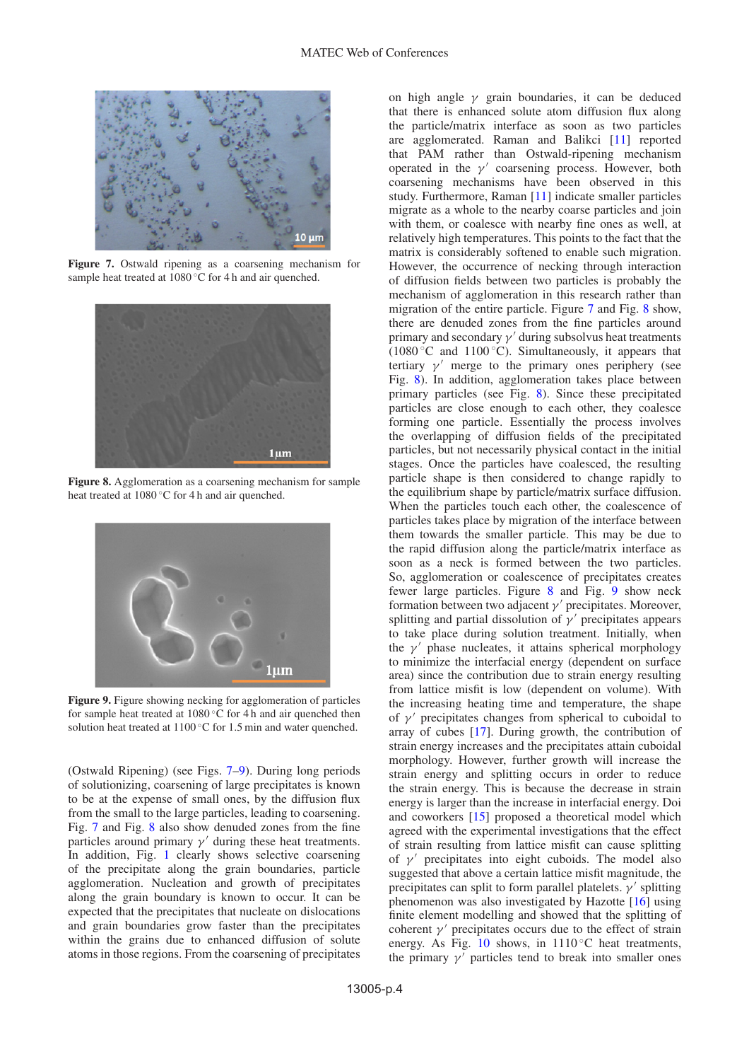<span id="page-3-0"></span>

**Figure 7.** Ostwald ripening as a coarsening mechanism for sample heat treated at 1080 ℃ for 4 h and air quenched.

<span id="page-3-2"></span>

**Figure 8.** Agglomeration as a coarsening mechanism for sample heat treated at 1080 ℃ for 4 h and air quenched.

<span id="page-3-1"></span>

**Figure 9.** Figure showing necking for agglomeration of particles for sample heat treated at 1080 ◦C for 4 h and air quenched then solution heat treated at 1100 ℃ for 1.5 min and water quenched.

(Ostwald Ripening) (see Figs. [7–](#page-3-0)[9\)](#page-3-1). During long periods of solutionizing, coarsening of large precipitates is known to be at the expense of small ones, by the diffusion flux from the small to the large particles, leading to coarsening. Fig. [7](#page-3-0) and Fig. [8](#page-3-2) also show denuded zones from the fine particles around primary  $\gamma'$  during these heat treatments. In addition, Fig. [1](#page-1-0) clearly shows selective coarsening of the precipitate along the grain boundaries, particle agglomeration. Nucleation and growth of precipitates along the grain boundary is known to occur. It can be expected that the precipitates that nucleate on dislocations and grain boundaries grow faster than the precipitates within the grains due to enhanced diffusion of solute atoms in those regions. From the coarsening of precipitates on high angle  $\gamma$  grain boundaries, it can be deduced that there is enhanced solute atom diffusion flux along the particle/matrix interface as soon as two particles are agglomerated. Raman and Balikci [\[11\]](#page-5-10) reported that PAM rather than Ostwald-ripening mechanism operated in the  $\gamma'$  coarsening process. However, both coarsening mechanisms have been observed in this study. Furthermore, Raman [\[11\]](#page-5-10) indicate smaller particles migrate as a whole to the nearby coarse particles and join with them, or coalesce with nearby fine ones as well, at relatively high temperatures. This points to the fact that the matrix is considerably softened to enable such migration. However, the occurrence of necking through interaction of diffusion fields between two particles is probably the mechanism of agglomeration in this research rather than migration of the entire particle. Figure [7](#page-3-0) and Fig. [8](#page-3-2) show, there are denuded zones from the fine particles around primary and secondary  $\gamma'$  during subsolvus heat treatments  $(1080 °C)$  and  $1100 °C$ ). Simultaneously, it appears that tertiary  $\gamma'$  merge to the primary ones periphery (see Fig. [8\)](#page-3-2). In addition, agglomeration takes place between primary particles (see Fig. [8\)](#page-3-2). Since these precipitated particles are close enough to each other, they coalesce forming one particle. Essentially the process involves the overlapping of diffusion fields of the precipitated particles, but not necessarily physical contact in the initial stages. Once the particles have coalesced, the resulting particle shape is then considered to change rapidly to the equilibrium shape by particle/matrix surface diffusion. When the particles touch each other, the coalescence of particles takes place by migration of the interface between them towards the smaller particle. This may be due to the rapid diffusion along the particle/matrix interface as soon as a neck is formed between the two particles. So, agglomeration or coalescence of precipitates creates fewer large particles. Figure [8](#page-3-2) and Fig. [9](#page-3-1) show neck formation between two adjacent  $\gamma'$  precipitates. Moreover, splitting and partial dissolution of  $\gamma'$  precipitates appears to take place during solution treatment. Initially, when the  $\gamma'$  phase nucleates, it attains spherical morphology to minimize the interfacial energy (dependent on surface area) since the contribution due to strain energy resulting from lattice misfit is low (dependent on volume). With the increasing heating time and temperature, the shape of  $\nu'$  precipitates changes from spherical to cuboidal to array of cubes [\[17](#page-5-14)]. During growth, the contribution of strain energy increases and the precipitates attain cuboidal morphology. However, further growth will increase the strain energy and splitting occurs in order to reduce the strain energy. This is because the decrease in strain energy is larger than the increase in interfacial energy. Doi and coworkers [\[15\]](#page-5-15) proposed a theoretical model which agreed with the experimental investigations that the effect of strain resulting from lattice misfit can cause splitting of  $\gamma'$  precipitates into eight cuboids. The model also suggested that above a certain lattice misfit magnitude, the precipitates can split to form parallel platelets.  $\gamma'$  splitting phenomenon was also investigated by Hazotte [\[16](#page-5-16)] using finite element modelling and showed that the splitting of coherent  $\gamma'$  precipitates occurs due to the effect of strain energy. As Fig.  $10$  shows, in  $1110\degree$ C heat treatments, the primary  $\gamma'$  particles tend to break into smaller ones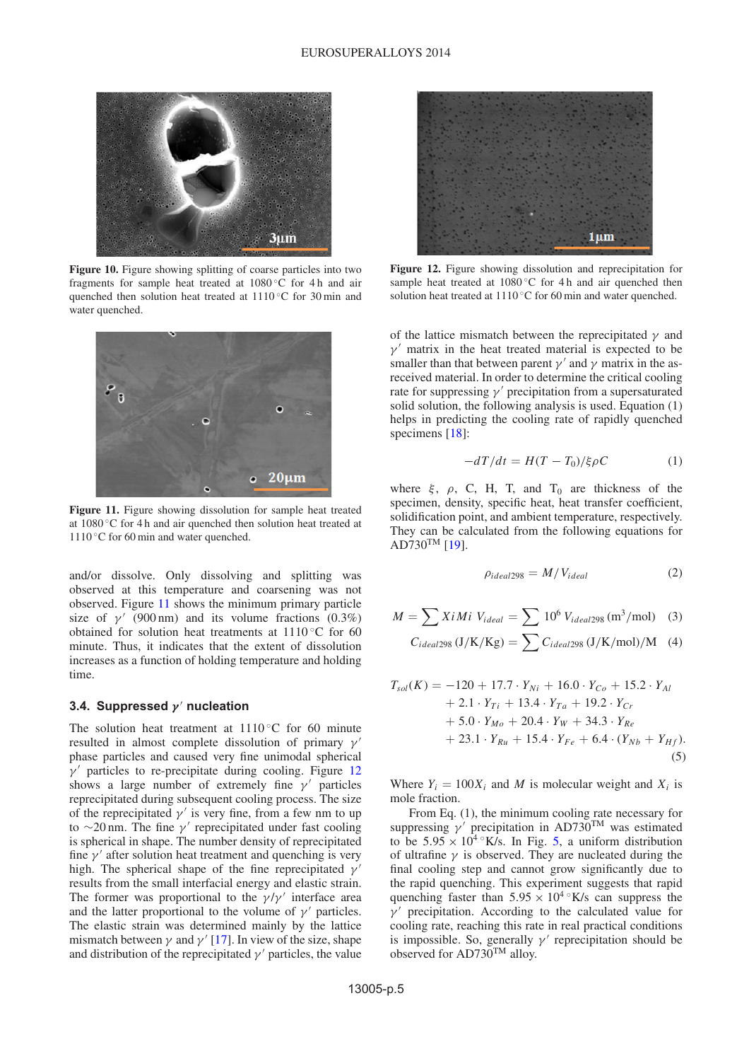<span id="page-4-0"></span>

**Figure 10.** Figure showing splitting of coarse particles into two fragments for sample heat treated at 1080 ◦C for 4 h and air quenched then solution heat treated at 1110 ℃ for 30 min and water quenched.

<span id="page-4-1"></span>

**Figure 11.** Figure showing dissolution for sample heat treated at 1080 ◦C for 4 h and air quenched then solution heat treated at 1110 °C for 60 min and water quenched.

and/or dissolve. Only dissolving and splitting was observed at this temperature and coarsening was not observed. Figure [11](#page-4-1) shows the minimum primary particle size of  $\gamma'$  (900 nm) and its volume fractions (0.3%) obtained for solution heat treatments at  $1110\degree$ C for 60 minute. Thus, it indicates that the extent of dissolution increases as a function of holding temperature and holding time.

#### **3.4. Suppressed** *γ* **nucleation**

The solution heat treatment at  $1110\degree$ C for 60 minute resulted in almost complete dissolution of primary  $\gamma'$ phase particles and caused very fine unimodal spherical  $\nu'$  particles to re-precipitate during cooling. Figure [12](#page-4-2) shows a large number of extremely fine  $\gamma'$  particles reprecipitated during subsequent cooling process. The size of the reprecipitated  $\gamma'$  is very fine, from a few nm to up to  $\sim$ 20 nm. The fine  $\gamma'$  reprecipitated under fast cooling is spherical in shape. The number density of reprecipitated fine  $\gamma'$  after solution heat treatment and quenching is very high. The spherical shape of the fine reprecipitated  $\gamma$ results from the small interfacial energy and elastic strain. The former was proportional to the  $\gamma/\gamma'$  interface area and the latter proportional to the volume of  $\gamma'$  particles. The elastic strain was determined mainly by the lattice mismatch between  $\gamma$  and  $\gamma'$  [\[17\]](#page-5-14). In view of the size, shape and distribution of the reprecipitated  $\gamma'$  particles, the value

<span id="page-4-2"></span>

**Figure 12.** Figure showing dissolution and reprecipitation for sample heat treated at 1080 ℃ for 4 h and air quenched then solution heat treated at 1110 ℃ for 60 min and water quenched.

of the lattice mismatch between the reprecipitated  $\gamma$  and  $\gamma'$  matrix in the heat treated material is expected to be smaller than that between parent  $\gamma'$  and  $\gamma$  matrix in the asreceived material. In order to determine the critical cooling rate for suppressing  $\gamma'$  precipitation from a supersaturated solid solution, the following analysis is used. Equation (1) helps in predicting the cooling rate of rapidly quenched specimens [\[18](#page-5-17)]:

$$
-dT/dt = H(T - T_0)/\xi \rho C \tag{1}
$$

where  $\xi$ ,  $\rho$ , C, H, T, and T<sub>0</sub> are thickness of the specimen, density, specific heat, heat transfer coefficient, solidification point, and ambient temperature, respectively. They can be calculated from the following equations for  $AD730^{TM}$  [\[19](#page-5-18)].

$$
\rho_{ideal298} = M/V_{ideal} \tag{2}
$$

$$
M = \sum X i Mi \ V_{ideal} = \sum 10^{6} V_{ideal298} (m^{3}/mol) \quad (3)
$$

$$
C_{ideal298} (J/K/Kg) = \sum C_{ideal298} (J/K/mol)/M \quad (4)
$$

$$
T_{sol}(K) = -120 + 17.7 \cdot Y_{Ni} + 16.0 \cdot Y_{Co} + 15.2 \cdot Y_{Al} + 2.1 \cdot Y_{Ti} + 13.4 \cdot Y_{Ta} + 19.2 \cdot Y_{Cr} + 5.0 \cdot Y_{Mo} + 20.4 \cdot Y_{W} + 34.3 \cdot Y_{Re} + 23.1 \cdot Y_{Ru} + 15.4 \cdot Y_{Fe} + 6.4 \cdot (Y_{Nb} + Y_{Hf}).
$$
\n(5)

Where  $Y_i = 100X_i$  and *M* is molecular weight and  $X_i$  is mole fraction.

From Eq. (1), the minimum cooling rate necessary for suppressing  $\gamma'$  precipitation in AD730<sup>TM</sup> was estimated to be  $5.95 \times 10^4$  °K/s. In Fig. [5,](#page-2-2) a uniform distribution of ultrafine  $\gamma$  is observed. They are nucleated during the final cooling step and cannot grow significantly due to the rapid quenching. This experiment suggests that rapid quenching faster than  $5.95 \times 10^{4}$  °K/s can suppress the  $\gamma'$  precipitation. According to the calculated value for cooling rate, reaching this rate in real practical conditions is impossible. So, generally  $\gamma'$  reprecipitation should be observed for AD730TM alloy.